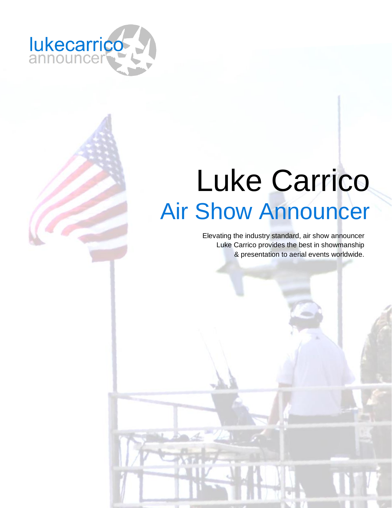

# Luke Carrico Air Show Announcer

Elevating the industry standard, air show announcer Luke Carrico provides the best in showmanship & presentation to aerial events worldwide.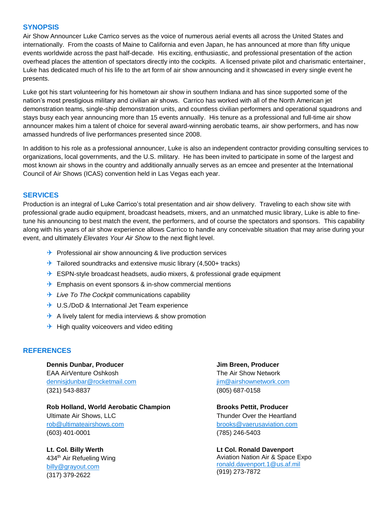#### **SYNOPSIS**

Air Show Announcer Luke Carrico serves as the voice of numerous aerial events all across the United States and internationally. From the coasts of Maine to California and even Japan, he has announced at more than fifty unique events worldwide across the past half-decade. His exciting, enthusiastic, and professional presentation of the action overhead places the attention of spectators directly into the cockpits. A licensed private pilot and charismatic entertainer, Luke has dedicated much of his life to the art form of air show announcing and it showcased in every single event he presents.

Luke got his start volunteering for his hometown air show in southern Indiana and has since supported some of the nation's most prestigious military and civilian air shows. Carrico has worked with all of the North American jet demonstration teams, single-ship demonstration units, and countless civilian performers and operational squadrons and stays busy each year announcing more than 15 events annually. His tenure as a professional and full-time air show announcer makes him a talent of choice for several award-winning aerobatic teams, air show performers, and has now amassed hundreds of live performances presented since 2008.

In addition to his role as a professional announcer, Luke is also an independent contractor providing consulting services to organizations, local governments, and the U.S. military. He has been invited to participate in some of the largest and most known air shows in the country and additionally annually serves as an emcee and presenter at the International Council of Air Shows (ICAS) convention held in Las Vegas each year.

#### **SERVICES**

Production is an integral of Luke Carrico's total presentation and air show delivery. Traveling to each show site with professional grade audio equipment, broadcast headsets, mixers, and an unmatched music library, Luke is able to finetune his announcing to best match the event, the performers, and of course the spectators and sponsors. This capability along with his years of air show experience allows Carrico to handle any conceivable situation that may arise during your event, and ultimately *Elevates Your Air Show* to the next flight level.

- $\rightarrow$  Professional air show announcing & live production services
- $\rightarrow$  Tailored soundtracks and extensive music library (4,500+ tracks)
- $\rightarrow$  ESPN-style broadcast headsets, audio mixers, & professional grade equipment
- $\rightarrow$  Emphasis on event sponsors & in-show commercial mentions
- **→** *Live To The Cockpit* communications capability
- **→ U.S./DoD & International Jet Team experience**
- $\rightarrow$  A lively talent for media interviews & show promotion
- $\rightarrow$  High quality voiceovers and video editing

### **REFERENCES**

**Dennis Dunbar, Producer** EAA AirVenture Oshkosh [dennisjdunbar@rocketmail.com](mailto:dennisjdunbar@rocketmail.com) (321) 543-8837

**Rob Holland, World Aerobatic Champion** Ultimate Air Shows, LLC rob@ultimateairshows.com (603) 401-0001

**Lt. Col. Billy Werth** 434th Air Refueling Wing [billy@grayout.com](mailto:billy@grayout.com) (317) 379-2622

**Jim Breen, Producer** The Air Show Network [jim@airshownetwork.com](mailto:jim@airshownetwork.com) (805) 687-0158

**Brooks Pettit, Producer** Thunder Over the Heartland [brooks@vaerusaviation.com](mailto:brooks@vaerusaviation.com) (785) 246-5403

**Lt Col. Ronald Davenport** Aviation Nation Air & Space Expo [ronald.davenport.1@us.af.mil](mailto:ronald.davenport.1@us.af.mil) (919) 273-7872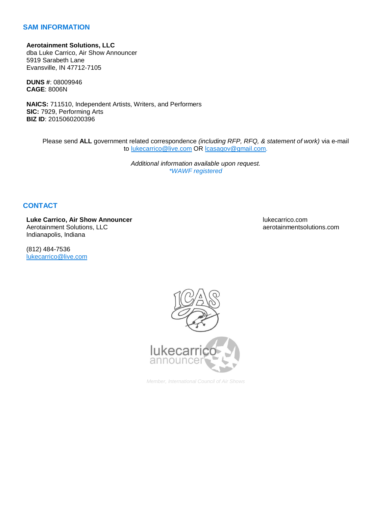## **SAM INFORMATION**

**Aerotainment Solutions, LLC** dba Luke Carrico, Air Show Announcer 5919 Sarabeth Lane Evansville, IN 47712-7105

**DUNS #**: 08009946 **CAGE**: 8006N

**NAICS:** 711510, Independent Artists, Writers, and Performers **SIC:** 7929, Performing Arts **BIZ ID**: 2015060200396

Please send **ALL** government related correspondence *(including RFP, RFQ, & statement of work)* via e-mail to [lukecarrico@live.com](mailto:lukecarrico@live.com) OR [lcasagov@gmail.com.](mailto:lcasagov@gmail.com)

> *Additional information available upon request. \*WAWF registered*

## **CONTACT**

**Luke Carrico, Air Show Announcer** Aerotainment Solutions, LLC Indianapolis, Indiana

(812) 484-7536 [lukecarrico@live.com](mailto:lukecarrico@live.com) lukecarrico.com aerotainmentsolutions.com



*Member, International Council of Air Shows*